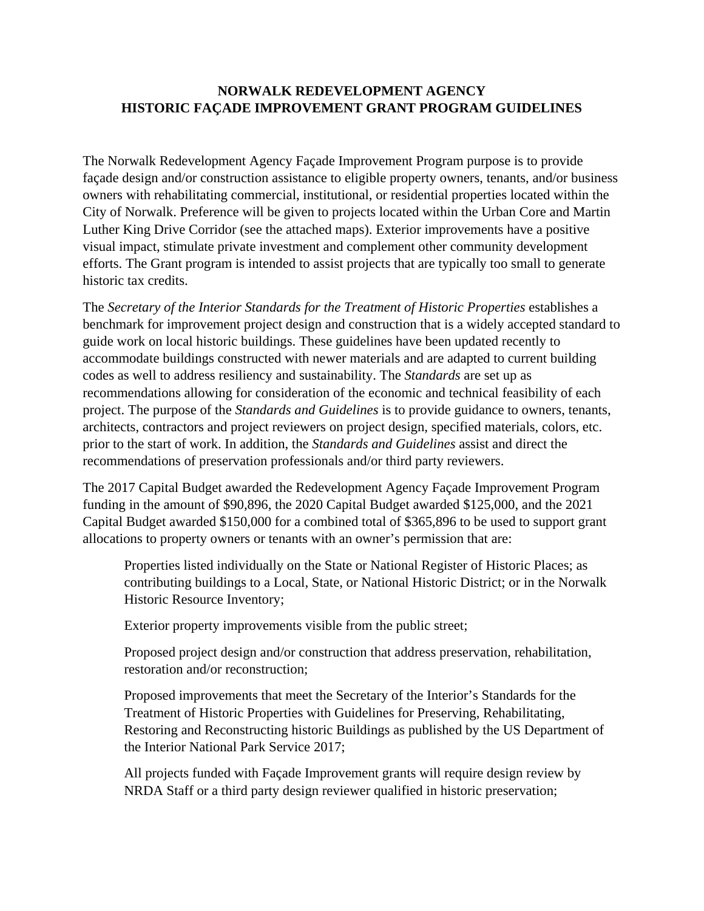## **NORWALK REDEVELOPMENT AGENCY HISTORIC FAÇADE IMPROVEMENT GRANT PROGRAM GUIDELINES**

The Norwalk Redevelopment Agency Façade Improvement Program purpose is to provide façade design and/or construction assistance to eligible property owners, tenants, and/or business owners with rehabilitating commercial, institutional, or residential properties located within the City of Norwalk. Preference will be given to projects located within the Urban Core and Martin Luther King Drive Corridor (see the attached maps). Exterior improvements have a positive visual impact, stimulate private investment and complement other community development efforts. The Grant program is intended to assist projects that are typically too small to generate historic tax credits.

The *Secretary of the Interior Standards for the Treatment of Historic Properties* establishes a benchmark for improvement project design and construction that is a widely accepted standard to guide work on local historic buildings. These guidelines have been updated recently to accommodate buildings constructed with newer materials and are adapted to current building codes as well to address resiliency and sustainability. The *Standards* are set up as recommendations allowing for consideration of the economic and technical feasibility of each project. The purpose of the *Standards and Guidelines* is to provide guidance to owners, tenants, architects, contractors and project reviewers on project design, specified materials, colors, etc. prior to the start of work. In addition, the *Standards and Guidelines* assist and direct the recommendations of preservation professionals and/or third party reviewers.

The 2017 Capital Budget awarded the Redevelopment Agency Façade Improvement Program funding in the amount of \$90,896, the 2020 Capital Budget awarded \$125,000, and the 2021 Capital Budget awarded \$150,000 for a combined total of \$365,896 to be used to support grant allocations to property owners or tenants with an owner's permission that are:

Properties listed individually on the State or National Register of Historic Places; as contributing buildings to a Local, State, or National Historic District; or in the Norwalk Historic Resource Inventory;

Exterior property improvements visible from the public street;

Proposed project design and/or construction that address preservation, rehabilitation, restoration and/or reconstruction;

Proposed improvements that meet the Secretary of the Interior's Standards for the Treatment of Historic Properties with Guidelines for Preserving, Rehabilitating, Restoring and Reconstructing historic Buildings as published by the US Department of the Interior National Park Service 2017;

All projects funded with Façade Improvement grants will require design review by NRDA Staff or a third party design reviewer qualified in historic preservation;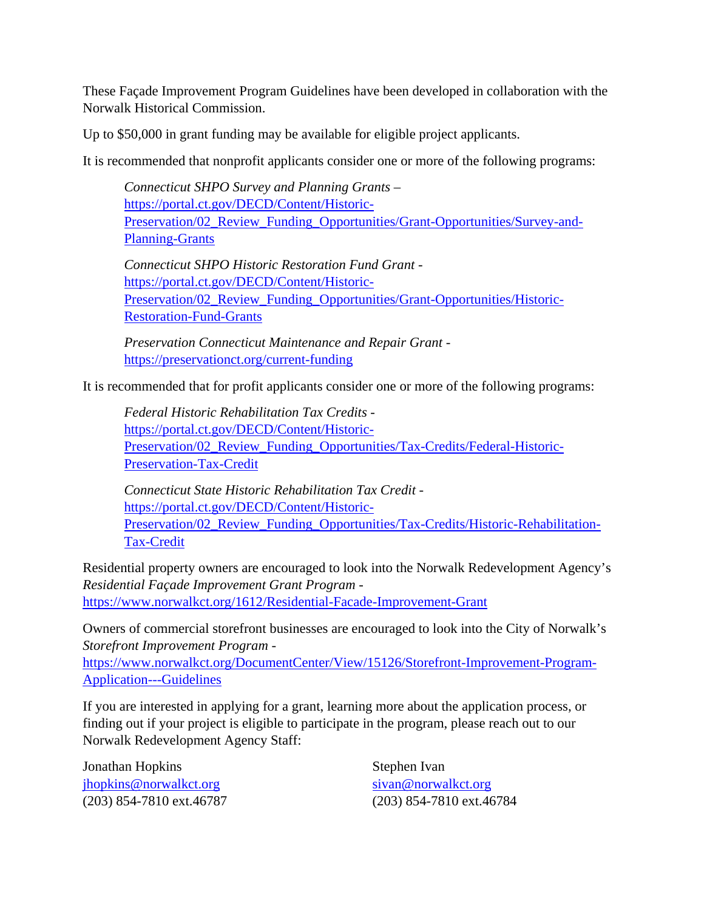These Façade Improvement Program Guidelines have been developed in collaboration with the Norwalk Historical Commission.

Up to \$50,000 in grant funding may be available for eligible project applicants.

It is recommended that nonprofit applicants consider one or more of the following programs:

*Connecticut SHPO Survey and Planning Grants* – https://portal.ct.gov/DECD/Content/Historic-Preservation/02 Review Funding Opportunities/Grant-Opportunities/Survey-and-Planning-Grants

*Connecticut SHPO Historic Restoration Fund Grant* https://portal.ct.gov/DECD/Content/Historic-Preservation/02\_Review\_Funding\_Opportunities/Grant-Opportunities/Historic-Restoration-Fund-Grants

*Preservation Connecticut Maintenance and Repair Grant* https://preservationct.org/current-funding

It is recommended that for profit applicants consider one or more of the following programs:

*Federal Historic Rehabilitation Tax Credits* https://portal.ct.gov/DECD/Content/Historic-Preservation/02\_Review\_Funding\_Opportunities/Tax-Credits/Federal-Historic-Preservation-Tax-Credit

*Connecticut State Historic Rehabilitation Tax Credit*  https://portal.ct.gov/DECD/Content/Historic-Preservation/02\_Review\_Funding\_Opportunities/Tax-Credits/Historic-Rehabilitation-Tax-Credit

Residential property owners are encouraged to look into the Norwalk Redevelopment Agency's *Residential Façade Improvement Grant Program* https://www.norwalkct.org/1612/Residential-Facade-Improvement-Grant

Owners of commercial storefront businesses are encouraged to look into the City of Norwalk's *Storefront Improvement Program* -

https://www.norwalkct.org/DocumentCenter/View/15126/Storefront-Improvement-Program-Application---Guidelines

If you are interested in applying for a grant, learning more about the application process, or finding out if your project is eligible to participate in the program, please reach out to our Norwalk Redevelopment Agency Staff:

Jonathan Hopkins jhopkins@norwalkct.org (203) 854-7810 ext.46787

Stephen Ivan sivan@norwalkct.org (203) 854-7810 ext.46784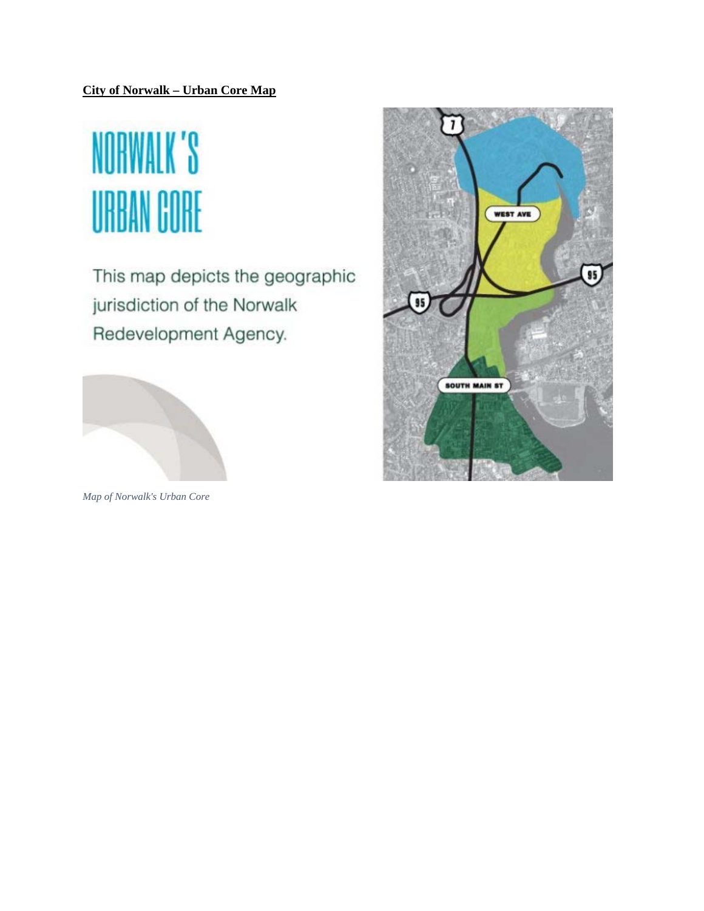## **City of Norwalk – Urban Core Map**

## NORWALK'S **URBAN CORE**

This map depicts the geographic jurisdiction of the Norwalk Redevelopment Agency.



*Map of Norwalk's Urban Core*